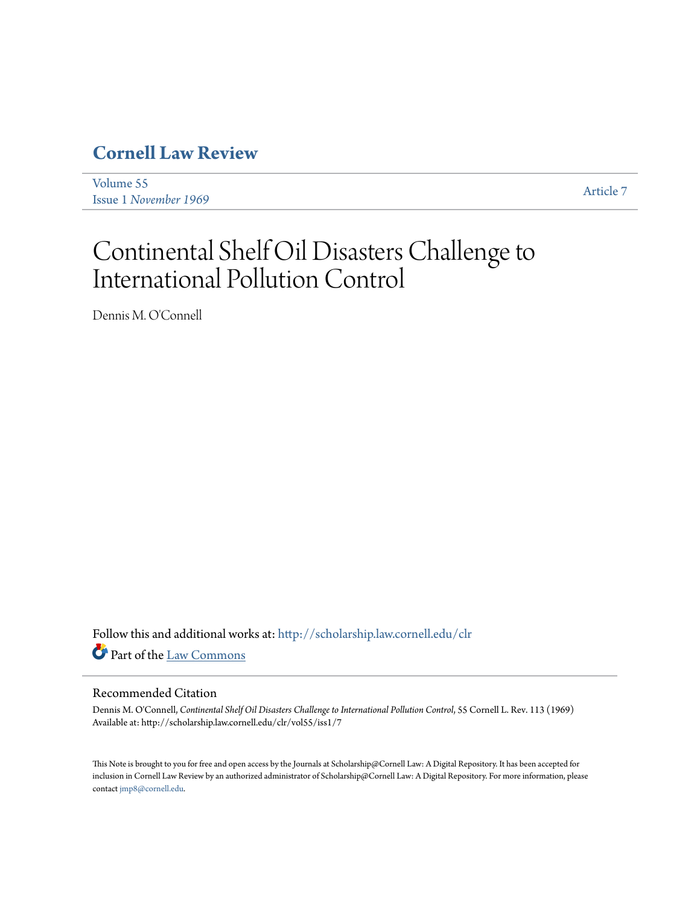# **[Cornell Law Review](http://scholarship.law.cornell.edu/clr?utm_source=scholarship.law.cornell.edu%2Fclr%2Fvol55%2Fiss1%2F7&utm_medium=PDF&utm_campaign=PDFCoverPages)**

[Volume 55](http://scholarship.law.cornell.edu/clr/vol55?utm_source=scholarship.law.cornell.edu%2Fclr%2Fvol55%2Fiss1%2F7&utm_medium=PDF&utm_campaign=PDFCoverPages) Issue 1 *[November 1969](http://scholarship.law.cornell.edu/clr/vol55/iss1?utm_source=scholarship.law.cornell.edu%2Fclr%2Fvol55%2Fiss1%2F7&utm_medium=PDF&utm_campaign=PDFCoverPages)* [Article 7](http://scholarship.law.cornell.edu/clr/vol55/iss1/7?utm_source=scholarship.law.cornell.edu%2Fclr%2Fvol55%2Fiss1%2F7&utm_medium=PDF&utm_campaign=PDFCoverPages)

# Continental Shelf Oil Disasters Challenge to International Pollution Control

Dennis M. O'Connell

Follow this and additional works at: [http://scholarship.law.cornell.edu/clr](http://scholarship.law.cornell.edu/clr?utm_source=scholarship.law.cornell.edu%2Fclr%2Fvol55%2Fiss1%2F7&utm_medium=PDF&utm_campaign=PDFCoverPages) Part of the [Law Commons](http://network.bepress.com/hgg/discipline/578?utm_source=scholarship.law.cornell.edu%2Fclr%2Fvol55%2Fiss1%2F7&utm_medium=PDF&utm_campaign=PDFCoverPages)

# Recommended Citation

Dennis M. O'Connell, *Continental Shelf Oil Disasters Challenge to International Pollution Control*, 55 Cornell L. Rev. 113 (1969) Available at: http://scholarship.law.cornell.edu/clr/vol55/iss1/7

This Note is brought to you for free and open access by the Journals at Scholarship@Cornell Law: A Digital Repository. It has been accepted for inclusion in Cornell Law Review by an authorized administrator of Scholarship@Cornell Law: A Digital Repository. For more information, please contact [jmp8@cornell.edu.](mailto:jmp8@cornell.edu)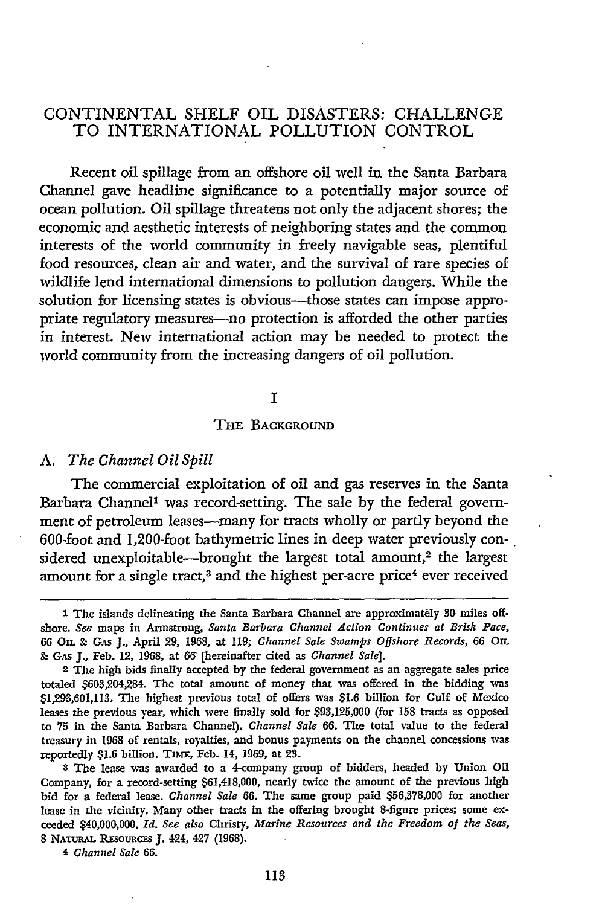# **CONTINENTAL SHELF** OIL DISASTERS: **CHALLENGE** TO INTERNATIONAL POLLUTION CONTROL

Recent oil spillage from an offshore oil well in the Santa Barbara Channel gave headline significance to a potentially major source of ocean pollution. Oil spillage threatens not only the adjacent shores; the economic and aesthetic interests of neighboring states and the common interests of the world community in freely navigable seas, plentiful food resources, clean air and water, and the survival of rare species of wildlife lend international dimensions to pollution dangers. While the solution for licensing states is obvious---those states can impose appropriate regulatory measures-no protection is afforded the other parties in interest. New international action may be needed to protect the world community from the increasing dangers of oil pollution.

# **I**

# **THE BACKGROUND**

# *A. The Channel Oil Spill*

The commercial exploitation of oil and gas reserves in the Santa Barbara Channel' was record-setting. The sale **by** the federal government of petroleum leases--many for tracts wholly or partly beyond the 600-foot and 1,200-foot bathymetric lines in deep water previously considered unexploitable--brought the largest total amount,<sup>2</sup> the largest amount for a single tract,<sup>3</sup> and the highest per-acre price<sup>4</sup> ever received

**<sup>3</sup>**The lease was awarded to a 4-company group of bidders, headed **by** Union Oil Company, for a record-setting \$61,418,000, nearly twice the amount of the previous high bid for a federal lease. *Channel Sale* 66. The same group paid \$56,378,000 for another lease in the vicinity. Many other tracts in the offering brought 8-figure prices; some exceeded \$40,000,000. *Id. See also* Christy, *Marine Resources and the Freedom of the Seas,* 8 NATURAL RESOURCES J. 424, 427 (1968).

4 *Channel Sale 66.*

<sup>1</sup> The islands delineating the Santa Barbara Channel are approximately 30 miles offshore. *See* maps in Armstrong, *Santa Barbara Channel Action Continues at Brisk Pace,* 66 O. **9- GAS J.,** April **29,** 1968, at 119; *Channel Sale Swamps Offshore Records,* **66** Om. *&* GA J., Feb. 12, **1968,** at **66** [hereinafter cited as *Channel Sale].*

<sup>2</sup> The high bids finally accepted **by** the federal government as an aggregate sales price totaled \$603,204,284. The total amount of money that was offered in the bidding was \$1,293,601,113. The highest previous total of offers was \$1.6 billion for Gulf of Mexico leases the previous year, which were finally sold for \$93,125,000 (for **158** tracts as opposed to **75** in the Santa Barbara Channel). *Channel Sale* 66. The total value to the federal treasury in **1968** of rentals, royalties, and bonus payments on the channel concessions was reportedly \$1.6 billion. TIME, Feb. 14, 1969, at 23.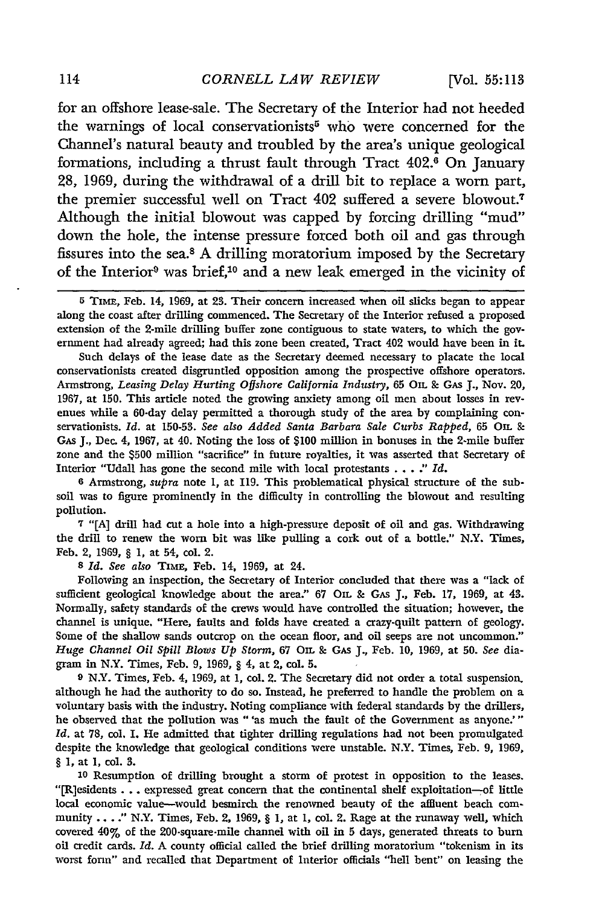for an offshore lease-sale. The Secretary of the Interior had not heeded the warnings of local conservationists<sup>5</sup> who were concerned for the Channel's natural beauty and troubled by the area's unique geological formations, including a thrust fault through Tract 402.<sup>6</sup> On January 28, 1969, during the withdrawal of a drill bit to replace a worn part, the premier successful well on Tract 402 suffered a severe blowout.7 Although the initial blowout was capped by forcing drilling "mud" down the hole, the intense pressure forced both oil and gas through fissures into the sea.8 A drilling moratorium imposed by the Secretary of the Interior9 was brief,10 and a new leak emerged in the vicinity of

Such delays of the lease date as the Secretary deemed necessary to placate the local conservationists created disgruntled opposition among the prospective offshore operators. Armstrong, *Leasing Delay Hurting Offshore California Industry,* **65** OIL **&** GAS **J.,** Nov. 20, 1967, at 150. This article noted the growing anxiety among oil men about losses in revenues while a 60-day delay permitted a thorough study of the area by complaining conservationists. *Id.* at 150-53. *See also Added Santa Barbara Sale Curbs Rapped,* 65 OIL **&** GAS J., Dec. 4, 1967, at 40. Noting the loss of \$100 million in bonuses in the 2-mile buffer zone and the \$500 million "sacrifice" in future royalties, it was asserted that Secretary of Interior "Udall has gone the second mile with local protestants **... .** *Id.*

**6** Armstrong, *supra* note **1,** at 119. This problematical physical structure of the subsoil was to figure prominently in the difficulty in controlling the blowout and resulting pollution.

**7** "[A] drill had cut a hole into a high-pressure deposit of oil and gas. Withdrawing the drill to renew the worn bit was like pulling a cork out of a bottle." N.Y. Times, Feb. 2, 1969, § **1,** at 54, col. 2.

**8** *Id. See also* TiME, Feb. 14, 1969, at 24.

Following an inspection, the Secretary of Interior concluded that there was a "lack of sufficient geological knowledge about the area." 67 **OIL &** GAs J., Feb. 17, 1969, at 43. Normally, safety standards of the crews would have controlled the situation; however, the channel is unique. "Here, faults and folds have created a crazy-quilt pattern of geology. Some of the shallow sands outcrop on the ocean floor, and oil seeps are not uncommon." *Huge Channel Oil Spill Blows* **Up** *Storm,* 67 **OIL & GAS** *J,* Feb. 10, 1969, at 50. *See* diagram in N.Y. Times, Feb. 9, 1969, § 4, at 2, col. **5.**

**<sup>9</sup>**N.Y. Times, Feb. 4, 1969, at 1, col. 2. The Secretary did not order a total suspension. although he had the authority to do so. Instead, he preferred to handle the problem on a voluntary basis with the industry. Noting compliance with federal standards by the drillers, he observed that the pollution was "'as much the fault of the Government as anyone.'" *Id.* at 78, col. 1. He admitted that tighter drilling regulations had not been promulgated despite the knowledge that geological conditions were unstable. N.Y. Times, Feb. 9, 1969, § 1, at 1, col. 3.

**<sup>10</sup>**Resumption of drilling brought a storm of protest in opposition to the leases. "[R]esidents **...**expressed great concern that the continental shelf exploitation-of little local economic value-would besmirch the renowned beauty of the affluent beach community ...." N.Y. Times, Feb. 2, 1969,  $\S$  1, at 1, col. 2. Rage at the runaway well, which covered 40% of the 200-square-mile channel with oil in **5** days, generated threats to burn oil credit cards. *Id.* A county official called the brief drilling moratorium "tokenism in its worst form" and recalled that Department of Interior officials "hell bent" on leasing the

**<sup>5</sup>**Timm, Feb. 14, 1969, at **23.** Their concern increased when oil slicks began to appear along the coast after drilling commenced. The Secretary of the Interior refused a proposed extension of the 2-mile drilling buffer zone contiguous to state waters, to which the government had already agreed; had this zone been created, Tract 402 would have been in it.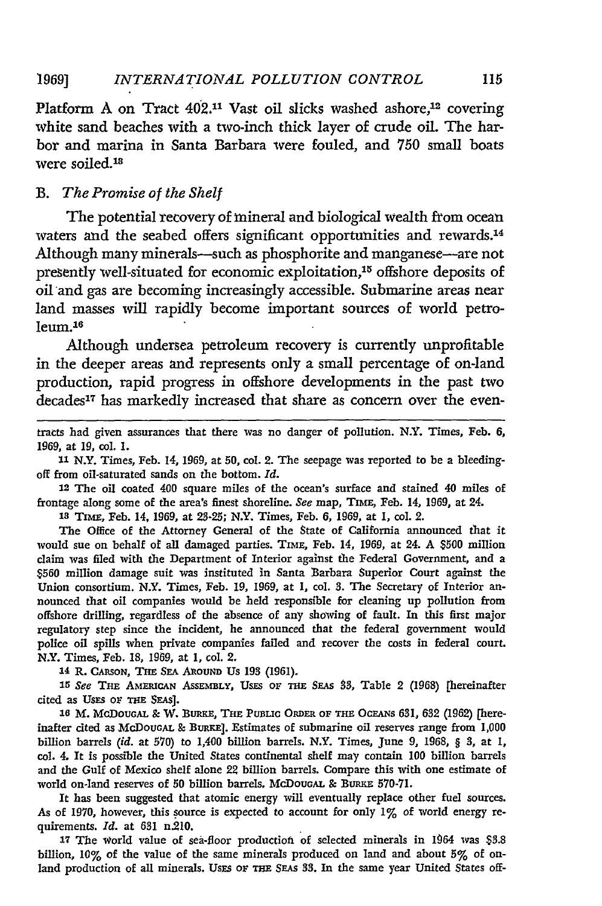#### *INTERNATIONAL POLLUTION CONTROL 1969]*

Platform A on Tract 402.<sup>11</sup> Vast oil slicks washed ashore,<sup>12</sup> covering white sand beaches with a two-inch thick layer of crude oil. The harbor and marina in Santa Barbara were fouled, and 750 small boats were soiled.<sup>18</sup>

# *B. The Promise of the Shelf*

The potential recovery of mineral and biological wealth from ocean waters and the seabed offers significant opportunities and rewards.<sup>14</sup> Although many minerals—such as phosphorite and manganese—are not presently well-situated for economic exploitation,<sup>15</sup> offshore deposits of oil and gas are becoming increasingly accessible. Submarine areas near land masses will rapidly become important sources of world petroleum.16

Although undersea petroleum recovery is currently unprofitable in the deeper areas and represents only a small percentage of on-land production, rapid progress in offshore developments in the past two decades<sup>17</sup> has markedly increased that share as concern over the even-

tracts had given assurances that there was no danger of pollution. N.Y. Times, Feb. **6, 1969,** at **19, col. 1.**

*11* N.Y. Times, **Feb.** 14, **1969,** at **50, col.** 2. The seepage was reported to be a bleedingoff from oil-saturated sands on the bottom. *Id.*

12 The oil coated 400 square miles of the ocean's surface and stained 40 miles of frontage along some of the area's finest shoreline. *See* map, TIME, Feb. 14, **1969,** at 24.

**Is** TimE, **Feb.** 14, **1969,** at **23-25;** N.Y. Times, **Feb. 6, 1969,** at 1, col. 2.

The Office of the Attorney General of the State of California announced that it would sue on behalf of all damaged parties. **TIME,** Feb. 14, **1969,** at 24. **A \$500** million claim was flied with the Department of Interior against the Federal Government, and a **\$560** million damage suit was instituted in Santa Barbara Superior Court against the Union consortium. N.Y. Times, Feb. **19, 1969,** at **1,** col. **3.** The Secretary of Interior announced that oil companies would be held responsible for cleaning up pollution from offshore drilling, regardless of the absence of any showing of fault. In this first major regulatory step since the incident, he announced that the federal government would police oil spills when private companies failed and recover the costs in federal court. N.Y. Times, **Feb. 18, 1969,** at **1,** col. 2.

14 R. **CARSON, THE SEA** ARiOUND **US** 193 **(1961).**

*15 See* Tan AMmCAN ASSEMBLY, USES **OF TiE** SEAS **83,** Table 2 **(1968)** [hereinafter cited as UsES oF **THE** SEAs].

**16** M. McDOUGAL **&** W. BuRKE, **THE** PusLic **ORDER OF THa** OCEANs **631, 632** (1962) [hereinafter cited as McDouGAI, & **BuRmE].** Estimates of submarine oil reserves range from **1,000** billion barrels *(id.* at **570)** to 1,400 billion barrels. N.Y. Times, June **9, 1968,** § **3,** at **1, col.** 4. It is possible the United States continental shelf may contain **100** billion barrels and the Gulf of Mexico shelf alone 22 billion barrels. Compare this with one estimate of world on-land reserves of 50 billion barrels. McDouGAL & BURKE 570-71.

It has been suggested that atomic energy will eventually replace other fuel sources. As of **1970,** however, this source is expected to account for only 1% of world energy requirements. *Id.* at **631** n.210.

**17** The world value of sea-floor production of selected minerals in 1964 was **\$3.8** billion, **10%** of the value of the same minerals produced on land and about **5%** of onland production of all minerals. Uses or THE SEAs 33. In the same year United States off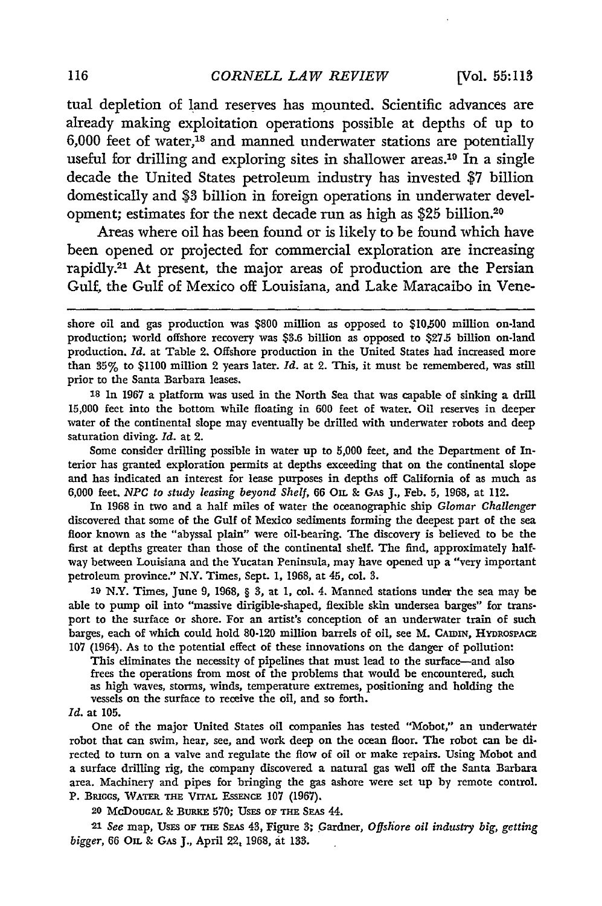tual depletion of land reserves has mounted. Scientific advances are already making exploitation operations possible at depths of up to  $6,000$  feet of water,<sup>18</sup> and manned underwater stations are potentially useful for drilling and exploring sites in shallower areas.<sup>19</sup> In a single decade the United States petroleum industry has invested \$7 billion domestically and **\$3** billion in foreign operations in underwater development; estimates for the next decade run as high as **\$25** billion.20

Areas where oil has been found or is likely to be found which have been opened or projected for commercial exploration are increasing rapidly.21 At present, the major areas of production are the Persian Gulf, the Gulf of Mexico off Louisiana, and Lake Maracaibo in Vene-

**<sup>18</sup>**In 1967 a platform was used in the North Sea that was capable of sinking a drill 15,000 feet into the bottom while floating in 600 feet of water. Oil reserves in deeper water of the continental slope may eventually be drilled with underwater robots and deep saturation diving. *Id.* at 2.

Some consider drilling possible in water up to 5,000 feet, and the Department of Interior has granted exploration permits at depths exceeding that on the continental slope and has indicated an interest for lease purposes in depths off California of as much as 6,000 feet. *NPC to study leasing beyond Shelf,* 66 *On.* **&** GAS J., Feb. 5, 1968, at 112.

In 1968 in two and a half miles of water the oceanographic ship *Glomar Challenger* discovered that some of the Gulf of Mexico sediments forming the deepest part of the sea floor known as the "abyssal plain" were oil-bearing. The discovery is believed to be the first at depths greater than those of the continental shelf. The find, approximately halfway between Louisiana and the Yucatan Peninsula, may have opened up a "very important petroleum province." N.Y. Times, Sept. 1, 1968, at 45, col. **3.**

**19** N.Y. Times, June 9, 1968, § **3,** at 1, col. 4. Manned stations under the sea may be able to pump oil into "massive dirigible-shaped, flexible skin undersea barges" for transport to the surface or shore. For an artist's conception of an underwater train of such barges, each of which could hold 80-120 million barrels of oil, see M. CAIDIN, HYDROSPACE **107** (1964). As to the potential effect of these innovations on the danger of pollution:

This eliminates the necessity of pipelines that must lead to the surface-and also frees the operations from most of the problems that would be encountered, such as high waves, storms, winds, temperature extremes, positioning and holding the vessels on the surface to receive the oil, and so forth.

### *Id.* at 105.

One of the major United States oil companies has tested "Mobot," an underwatdr robot that can swim, hear, see, and work deep on the ocean floor. The robot can be di. rected to turn on a valve and regulate the flow of oil or make repairs. Using Mobot and a surface drilling rig, the company discovered a natural gas well off the Santa Barbara area. Machinery and pipes for bringing the gas ashore were set up by remote control. P. BRIGGS, WATER THE VITAL ESSENCE 107 (1967).

**20 McDouoAL & BuxE 570; USES** OF **THE SEAS 44.**

**21** *See* map, UsES **OF THE SEAs 43,** Figure **3;** Gardner, *Offshore oil industry big, getting bigger,* 66 **On. & GAS** J, April 22, **1968, at 133.**

shore oil and gas production was **\$800** million as opposed to **\$10,500 million on-land** production; world offshore recovery was \$3.6 billion as opposed to \$27.5 billion on-land production. *Id.* at Table 2. Offshore production in the United States had increased more than **35%** to **\$1100** million 2 years later. *Id.* at 2. This, it must be remembered, was still prior to the Santa Barbara leases.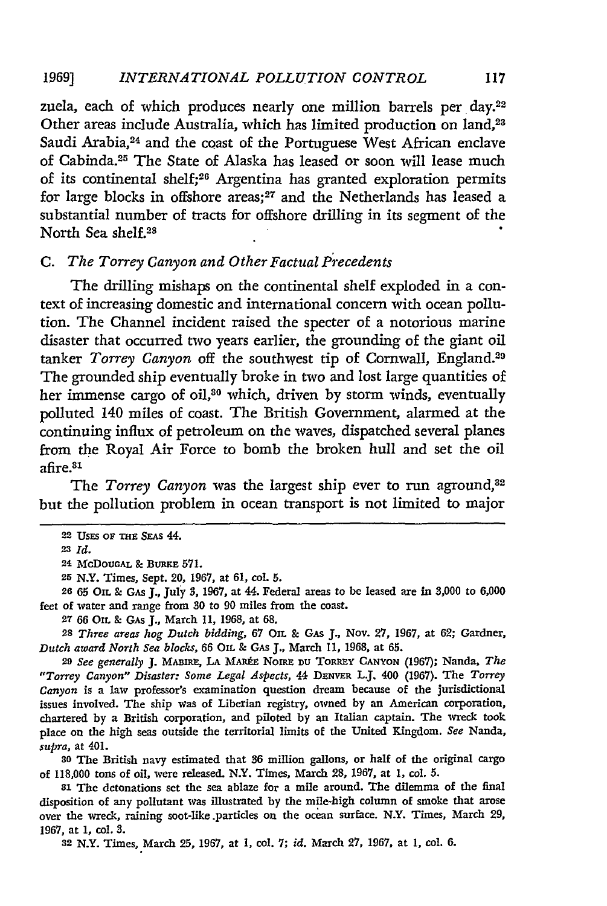#### *INTERNATIONAL POLLUTION CONTROL* **19691**

zuela, each of which produces nearly one million barrels per day.<sup>22</sup> Other areas include Australia, which has limited production on land,<sup>23</sup> Saudi Arabia,<sup>24</sup> and the coast of the Portuguese West African enclave of Cabinda.25 The State of Alaska has leased or soon will lease much of its continental shelf; 26 Argentina has granted exploration permits for large blocks in offshore areas;<sup>27</sup> and the Netherlands has leased a substantial number of tracts for offshore drilling in its segment of the North Sea shelf.28

# *C. The Torrey Canyon and Other Factual P'ecedents*

The drilling mishaps on the continental shelf exploded in a context of increasing domestic and international concern with ocean pollution. The Channel incident raised the specter of a notorious marine disaster that occurred two years earlier, the grounding of the giant oil tanker *Torrey Canyon* off the southwest tip of Cornwall, England.29 The grounded ship eventually broke in two and lost large quantities of her immense cargo of oil,<sup>30</sup> which, driven by storm winds, eventually polluted 140 miles of coast. The British Government, alarmed at the continuing influx of petroleum on the waves, dispatched several planes from the Royal Air Force to bomb the broken hull and set the oil afire.<sup>31</sup>

The *Torrey Canyon* was the largest ship ever to run aground,<sup>32</sup> but the pollution problem in ocean transport is not limited to major

**26 65** OIL & GAs **J.,** July **3,** 1967, at 44. Federal areas to be leased are in 5,000 to 6,000 feet of water and range from 30 to **90** miles from the coast.

**27 66** OIL & GAs J., March 11, 1968, at **68.**

**28** *Three areas hog Dutch bidding,* 67 OIL & GAs **J., Nov.** 27, 1967, at 62; Gardner, *Dutch award North Sea blocks,* 66 OIL & GAs J., March 11, 1968, at **65.**

**<sup>29</sup>***See generally* **J. MABn=, LA MARkE** NoIM **DU** Tommy **CANYON** (1967); Nanda, *The "Torrey Canyon" Disaster: Some Legal Aspects, 44* DENWR L.J. 400 (1967). The *Torrey Canyon* is a law professor's examination question dream because of the jurisdictional issues involved. The ship was of Liberian registry, owned by an American corporation, chartered by a British corporation, and piloted **by** an Italian captain. The wreck took place on the high seas outside the territorial limits of the United Kingdom. *See* Nanda, *supra,* at 401.

**<sup>80</sup>**The British navy estimated that 36 million gallons, or half of the original cargo of 118,000 tons of oil, were released. N.Y. Times, March 28, 1967, at **1,** col. 5.

**<sup>81</sup>**The detonations set the sea ablaze for a mile around. The dilemma of the final disposition of any pollutant was illustrated **by** the mile-high column of smoke that arose over the wreck, raining soot-like.particles on the ocean surface. N.Y. Times, March 29, **1967,** at **1,** col. **3.**

**82** N.Y. Times, March **25, 1967,** at **1,** col. **7;** *id.* March **27, 1967,** at **1,** col. **6.**

117

<sup>22</sup> USES OF THE SEAS 44.

**<sup>23</sup>***Id.*

<sup>24</sup> McDoUGAL & BuRKE **571.**

**<sup>25</sup>** N.Y. Times, Sept. 20, 1967, at 61, col. **5.**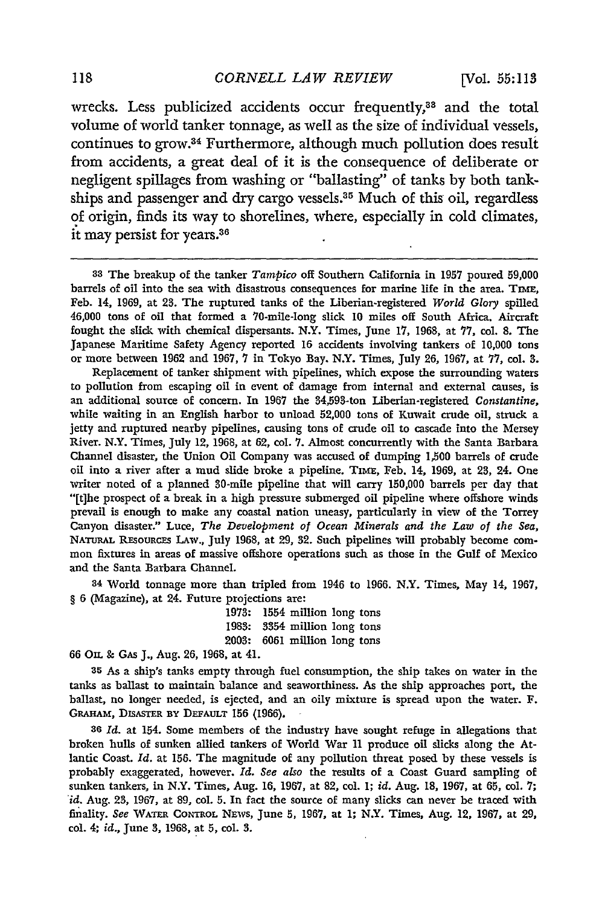**[Vol. 55:113**

wrecks. Less publicized accidents occur frequently,<sup>33</sup> and the total volume of world tanker tonnage, as well as the size of individual vessels, continues to grow.34 Furthermore, although much pollution does result from accidents, a great deal of it is the consequence of deliberate or negligent spillages from washing or "ballasting" of tanks **by** both tankships and passenger and dry cargo vessels.<sup>35</sup> Much of this oil, regardless of origin, finds its way to shorelines, where, especially in cold climates, it may persist for years. <sup>36</sup>

**33** The breakup of the tanker *Tampico* off Southern California in **1957** poured **59,000** barrels of oil into the sea with disastrous consequences for marine life in the area. TIME, Feb. 14, **1969,** at **23.** The ruptured tanks of the Liberian-registered *World* Glory spilled 46,000 tons of oil that formed a 70-mile-long slick **10** miles off South Africa. Aircraft fought the slick with chemical dispersants. N.Y. Times, June 17, **1968,** at **77,** col. **8.** The Japanese Maritime Safety Agency reported **16** accidents involving tankers of **10,000** tons or more between **1962** and **1967, 7** in Tokyo Bay. N.Y. Times, July **26, 1967,** at **77,** col. **3.**

Replacement of tanker shipment with pipelines, which expose the surrounding waters to pollution from escaping **oil** in event of damage from internal and external causes, is an additional source of concern. In **1967** the 84,593-ton Liberian-registered *Constantine,* while waiting in an English harbor to unload **52,000** tons of Kuwait crude oil, struck a jetty and ruptured nearby pipelines, causing tons of crude oil to cascade into the Mersey River. N.Y. Times, July 12, 1968, at **62,** col. **7.** Almost concurrently with the Santa Barbara Channel disaster, the Union Oil Company was accused of dumping **1,500** barrels of crude oil into a river after a mud slide broke a pipeline. TIME, Feb. 14, 1969, at 23, 24. One writer noted of a planned 80-mile pipeline that will carry **150,000** barrels per day that "[t]he prospect of a break in a high pressure submerged oil pipeline where offshore winds prevail is enough to make any coastal nation uneasy, particularly in view of the Torrey Canyon disaster." Luce, *The Development of Ocean Minerals and the Law of the Sea,* **NATURAL R-souRcxs** LAw., July **1968,** at **29, 32.** Such pipelines will probably become common fixtures in areas of massive offshore operations such as those in the Gulf of Mexico and the Santa Barbara Channel.

**34** World tonnage more than tripled from 1946 to **1966.** N.Y. Times, May 14, **1967,** § **6** (Magazine), at 24. Future projections are:

> **1973:** 1554 million long tons **1983:** 8354 million long tons **2003: 6061** million long tons

**66 On.** & GAS **J.,** Aug. **26, 1968,** at 41.

**35** As a ship's tanks empty through fuel consumption, the ship takes on water in the tanks as ballast to maintain balance and seaworthiness. As the ship approaches port, the ballast, no longer needed, is ejected, and an oily mixture is spread upon the water. F. **GRAHAM, DISASTER BY DEFAULT 156 (1966).**

*36 Id.* at 154. Some members of the industry have sought refuge in allegations that broken hulls of sunken allied tankers of World War II produce oil slicks along the Atlantic Coast. *Id.* **at 156.** The magnitude of any pollution threat posed **by** these vessels is probably exaggerated, however. *Id. See also* the results of a Coast Guard sampling of sunken tankers, in N.Y. Times, Aug. **16, 1967,** at **82,** col. 1; *id.* Aug. **18, 1967,** at **65, col. 7;** *id.* Aug. **23, 1967,** at **89,** col. **5.** In fact the source of many slicks can never be traced with finality. *See* **WATER CONTROL** NEws, **June 5, 1967,** at 1; N.Y. Times, Aug. 12, **1967,** at **29, col.** 4; *id.,* **June 3, 1968,** at **5,** col. **3.**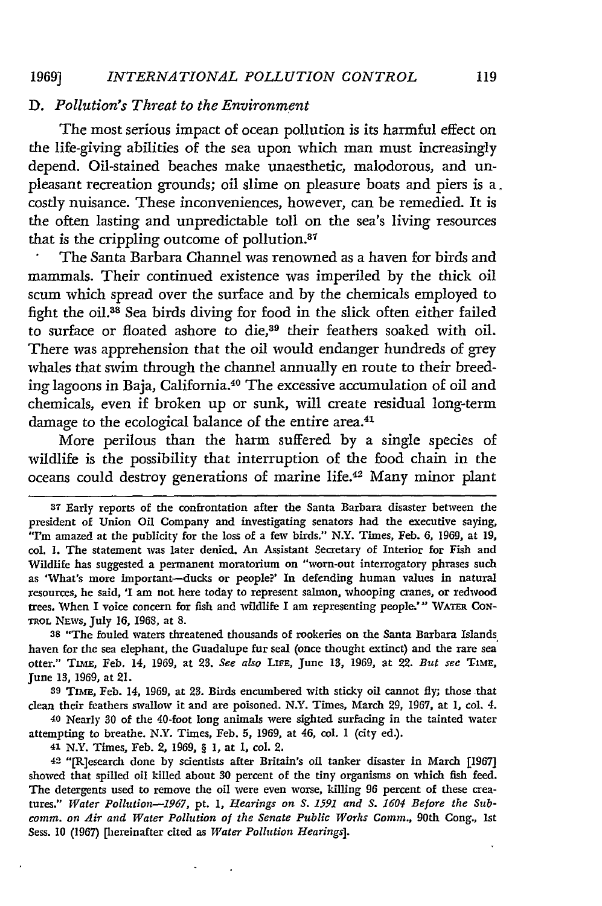# *D. Pollution's Threat to the Environment*

The most serious impact of ocean pollution is its harmful effect on the life-giving abilities of the sea upon which man must increasingly depend. Oil-stained beaches make unaesthetic, malodorous, and unpleasant recreation grounds; oil slime on pleasure boats and piers is a. costly nuisance. These inconveniences, however, can be remedied. It is the often lasting and unpredictable toll on the sea's living resources that is the crippling outcome of pollution.<sup>37</sup>

The Santa Barbara Channel was renowned as a haven for birds and mammals. Their continued existence was imperiled by the thick oil scum which spread over the surface and by the chemicals employed to fight the oil.38 Sea birds diving for food in the slick often either failed to surface or floated ashore to die,<sup>39</sup> their feathers soaked with oil. There was apprehension that the oil would endanger hundreds of grey whales that swim through the channel annually en route to their breeding lagoons in Baja, California.40 The excessive accumulation of oil and chemicals, even if broken up or sunk, will create residual long-term damage to the ecological balance of the entire area.<sup>41</sup>

More perilous than the harm suffered by a single species of wildlife is the possibility that interruption of the food chain in the oceans could destroy generations of marine life.42 Many minor plant

**38** "The fouled waters threatened thousands of rookeries on the Santa Barbara Islands haven for the sea elephant, the Guadalupe fur seal (once thought extinct) and the rare sea otter." TImE, Feb. 14, 1969, at **28.** *See also* LiFE, June **13,** 1969, at 22. *But see* **TIME,** June **13,** 1969, at 21.

**89 TIME,** Feb. 14, 1969, at **23.** Birds encumbered with sticky oil cannot **fly;** those that clean their feathers swallow it and are poisoned. N.Y. Times, March 29, 1967, at 1, col. 4.

**40** Nearly **30** of the 40-foot long animals were sighted surfacing in the tainted water attempting to breathe. N.Y. Times, Feb. **5,** 1969, at 46, col. **1** (city ed.).

**41** N.Y. Times, Feb. 2, 1969, § I, at 1, col. 2.

**42** "[R]esearch done by scientists after Britain's oil tanker disaster in March [1967] showed that spilled oil killed about **30** percent of the tiny organisms on which fish feed. The detergents used to remove the oil were even worse, killing 96 percent of these creatures." *Water Pollution-1967, pt. 1, Hearings on S. 1591 and S. 1604 Before the Subcomm. on Air and Water Pollution of the Senate Public Works Comm.,* 90th Cong., 1st Sess. **10** (1967) [hereinafter cited as *Water Pollution Hearings].*

**<sup>37</sup>** Early reports of the confrontation after the Santa Barbara disaster between the president of Union Oil Company and investigating senators had the executive saying, "I'm amazed at the publicity for the loss of a few birds." N.Y. Times, Feb. **6,** 1969, at 19, col. 1. The statement was later denied. An Assistant Secretary of Interior for Fish and Wildlife has suggested a permanent moratorium on "worn-out interrogatory phrases such as 'What's more important-ducks or people?' In defending human values in natural resources, he said, 'I am not here today to represent salmon, whooping cranes, or redwood trees. When I voice concern for fish and wildlife **I** am representing people."' WATrE CON-**TROL NAVs,** July **16, 1968,** at 8.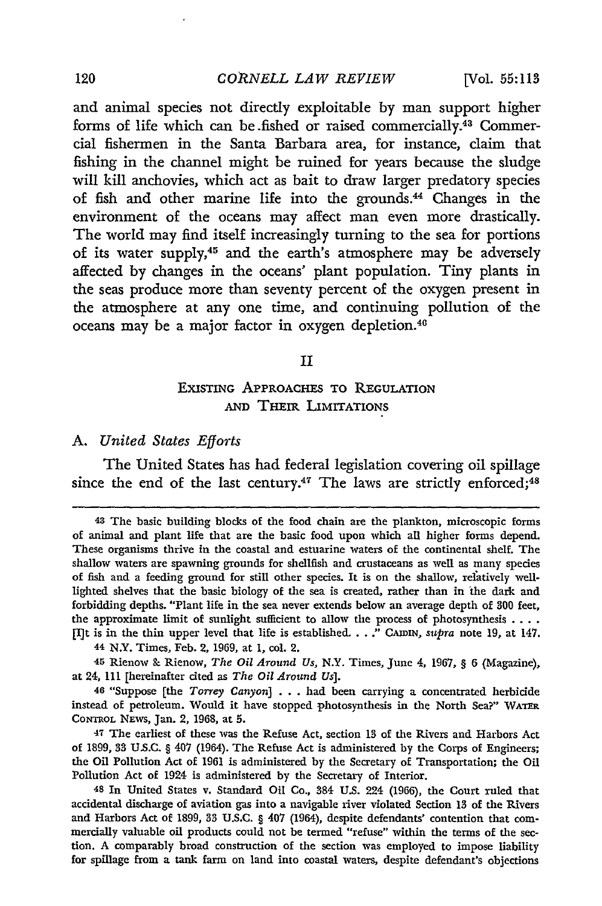and animal species not directly exploitable **by** man support higher forms of life which can be fished or raised commercially.<sup>43</sup> Commercial fishermen in the Santa Barbara area, for instance, claim that fishing in the channel might be ruined for years because the sludge will kill anchovies, which act as bait to draw larger predatory species of fish and other marine life into the grounds.44 Changes in the environment of the oceans may affect man even more drastically. The world may find itself increasingly turning to the sea for portions of its water **supply,4 <sup>5</sup>**and the earth's atmosphere may be adversely affected **by** changes in the oceans' plant population. Tiny plants in the seas produce more than seventy percent of the oxygen present in the atmosphere at any one time, and continuing pollution of the oceans may **be** a major factor in oxygen depletion.<sup>40</sup>

# II

# ExISTING APPROACHES TO REGULATION **AND THEIR LIMITATIONS**

# A. *United States Efforts*

The United States has had federal legislation covering oil spillage since the end of the last century.<sup>47</sup> The laws are strictly enforced;<sup>48</sup>

**<sup>48</sup>**The basic building blocks of the food chain are the plankton, microscopic forms of animal and plant life that are the basic food upon which all higher forms depend. These organisms thrive in the coastal and estuarine waters of the continental shelf. The shallow waters are spawning grounds for shellfish and crustaceans as well as many species of fish and a feeding ground for still other species. It is on the shallow, relatively welllighted shelves that the basic biology of the sea is created, rather than in the dark and forbidding depths. "Plant life in the sea never extends below an average depth of **300** feet, the approximate limit of sunlight sufficient to allow the process of photosynthesis **....** [I]t is in the thin upper level that life is established. . . ." CAIDIN, *supra* note 19, at 147.

**<sup>44</sup>** N.Y. Times, Feb. 2, 1969, at 1, col. 2.

<sup>45</sup> Rienow **S\_** Rienow, *The Oil Around Us,* N.Y. Times, June 4, 1967, § 6 (Magazine), at 24, 111 [hereinafter cited as *The Oil Around Us].*

<sup>46 &</sup>quot;Suppose [the *Torrey Canyon]* . *.* . had been carrying a concentrated herbicide instead of petroleum. Would it have stopped photosynthesis in the North Sea?" WATER **CONTROL** NzWs, Jan. 2, 1968, at **5.**

**<sup>47</sup>**The earliest of these was the Refuse Act, section **13** of the Rivers and Harbors Act of 1899, **33 U.S.C.** § 407 (1964). The Refuse Act is administered by the Corps of Engineers; the Oil Pollution Act of 1961 is administered by the Secretary of Transportation; the Oil Pollution Act of 1924 is administered by the Secretary of Interior.

**<sup>48</sup>**In United States v. Standard Oil Co., 384 **U.S.** 224 (1966), the Court ruled that accidental discharge of aviation gas into a navigable river violated Section **13** of the Rivers and Harbors Act of 1899, **33 U.S.C.** § 407 (1964), despite defendants' contention that commercially valuable oil products could not be termed "refuse" within the terms of the section. A comparably broad construction of the section was employed to impose liability for spillage from a tank farm on land into coastal waters, despite defendant's objections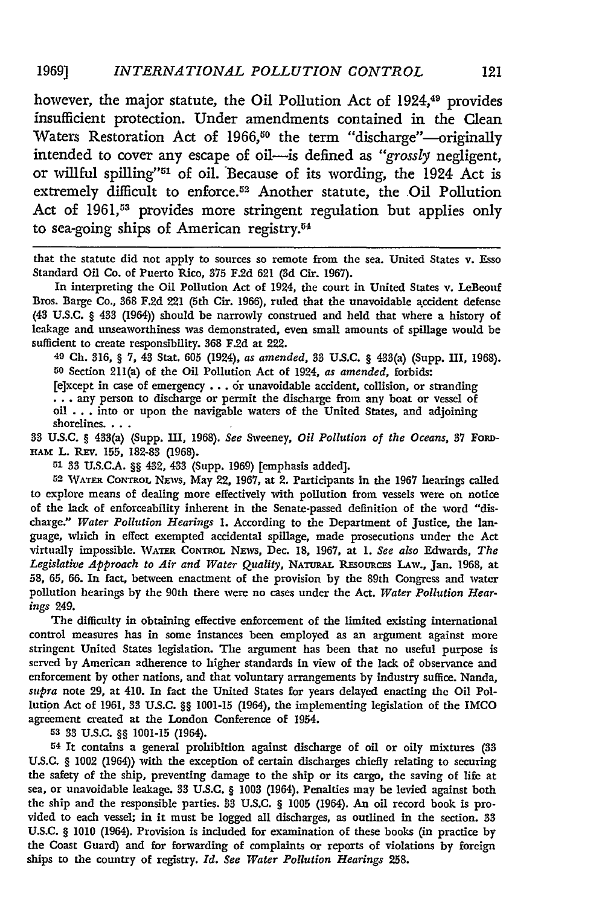however, the major statute, the Oil Pollution Act of 1924,<sup>49</sup> provides insufficient protection. Under amendments contained in the Clean Waters Restoration Act of 1966,<sup>50</sup> the term "discharge"-originally intended to cover any escape of oil-is defined as "grossly negligent, or willful spilling"'51 of oil. Because of its wording, the 1924 Act is extremely difficult to enforce.<sup>52</sup> Another statute, the Oil Pollution Act of 1961,<sup>53</sup> provides more stringent regulation but applies only to sea-going ships of American registry.54

that the statute did not apply to sources so remote from the sea. United States v. Esso Standard Oil Co. of Puerto Rico, **375 F.2d 621 (3d** Cir. 1967).

In interpreting the Oil Pollution Act of 1924, the court in United States v. LeBeouf Bros. Barge Co., 368 F.2d 221 (5th Cir. 1966), ruled that the unavoidable accident defense (43 U.S.C. § 433 (1964)) should be narrowly construed and held that where a history of leakage and unseaworthiness was demonstrated, even small amounts of spillage would be sufficient to create responsibility. 368 F.2d at 222.

**49 Ch. 316,** § **7,** 43 Stat. **605** (1924), *as amended,* **33 U.S.C.** § 433(a) (Supp. **HI, 1968). <sup>50</sup>**Section 211(a) of the Oil Pollution Act of 1924, *as amended,* forbids:

[e]xcept in case of emergency **...** or unavoidable accident, collision, or stranding **...** any person to discharge or permit the discharge from any boat or vessel of oil **...** into or upon the navigable waters of the United States, and adjoining shorelines. . . .

33 **U.S.C.** § 433(a) (Supp. **HI, 1968).** *See* Sweeney, *Oil Pollution of the Oceans,* **37** FoRD-**HAM** L. REv. **155,** 182-83 (1968).

**51** 33 U.S.C.A. §§ 432, 433 (Supp. 1969) [emphasis added].

**52** WATER CONTROL NEws, May 22, 1967, at 2. Participants in the 1967 hearings called to explore means of dealing more effectively with pollution from vessels were on notice of the lack of enforceability inherent in the Senate-passed definition of the word "discharge." *Water Pollution Hearings* 1. According to the Department of Justice, the language, which in effect exempted accidental spillage, made prosecutions under the Act virtually impossible. **WATER CONTROL** NEWS, Dec. **18,** 1967, at 1. *See also* Edwards, *The* Legislative Approach to Air and Water Quality, NATURAL RESOURCES LAW., Jan. 1968, at **58, 65,** 66. In fact, between enactment of the provision by the 89th Congress and water pollution hearings by the 90th there were no cases under the Act. *Water Pollution Hearings* 249.

The difficulty in obtaining effective enforcement of the limited existing international control measures has in some instances been employed as an argument against more stringent United States legislation. The argument has been that no useful purpose is served by American adherence to higher standards in view of the lack of observance and enforcement **by** other nations, and that voluntary arrangements by industry suffice. Nanda, *supra* note **29,** at 410. In fact the United States for years delayed enacting the Oil Pollution Act of 1961, 33 U.S.C. §§ 1001-15 (1964), the implementing legislation of the IMCO agreement created at the London Conference of 1954.

**53** 33 U.S.C. §§ 1001-15 (1964).

54 It contains a general prohibition against discharge of oil or oily mixtures **(33** U.S.C. § 1002 (1964)) with the exception of certain discharges chiefly relating to securing the safety of the ship, preventing damage to the ship or its cargo, the saving of life at sea, or unavoidable leakage. **33** U.S.C. § 1003 (1964). Penalties may be levied against both the ship and the responsible parties. **83** U.S.C. § 1005 (1964). An oil record book is provided to each vessel; in it must be logged all discharges, as outlined in the section. 33 **U.S.C.** § 1010 (1964). Provision is included for examination of these books (in practice by the Coast Guard) and for forwarding of complaints or reports of violations **by** foreign ships to the country of registry. *Id. See Water Pollution Hearings* 258.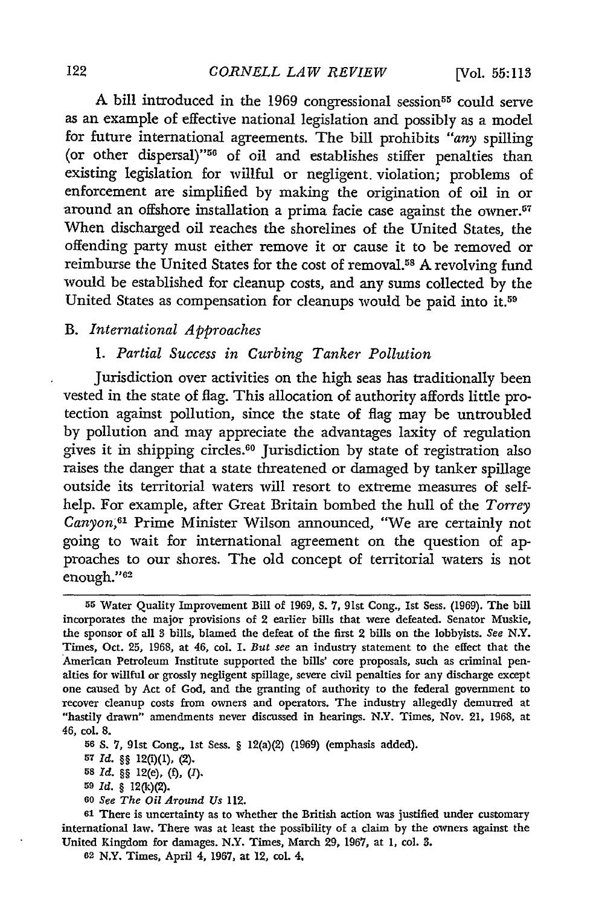A bill introduced in the 1969 congressional session<sup>55</sup> could serve as an example of effective national legislation and possibly as a model for future international agreements. The bill prohibits *"any* spilling (or other dispersal)"'56 of oil and establishes stiffer penalties than existing legislation for willful or negligent, violation; problems of enforcement are simplified by making the origination of oil in or around an offshore installation a prima facie case against the owner.<sup>57</sup> When discharged oil reaches the shorelines of the United States, the offending party must either remove it or cause it to be removed or reimburse the United States for the cost of removal.58 A revolving fund would be established for cleanup costs, and any sums collected by the United States as compensation for cleanups would be paid into it.59

# B. *International Approaches*

# *1. Partial Success in Curbing Tanker Pollution*

Jurisdiction over activities on the high seas has traditionally been vested in the state of flag. This allocation of authority affords little protection against pollution, since the state of flag may be untroubled by pollution and may appreciate the advantages laxity of regulation gives it in shipping circles. 60 Jurisdiction **by** state of registration also raises the danger that a state threatened or damaged by tanker spillage outside its territorial waters will resort to extreme measures of selfhelp. For example, after Great Britain bombed the hull of the *Torrey* Canyon,<sup>61</sup> Prime Minister Wilson announced, "We are certainly not going to wait for international agreement on the question of approaches to our shores. The old concept of territorial waters is not enough."<sup>62</sup>

**<sup>60</sup>***See The Oil Around Us* 112.

**<sup>61</sup>**There is uncertainty as to whether the British action was justified under customary international law. There was at least the possibility of a claim by the owners against the United Kingdom for damages. N.Y. Times, March 29, 1967, at **1,** col. **3.**

**<sup>55</sup>**Water Quality Improvement Bill of **1969, S. 7,** 91st Cong., 1st Sess. (1969). The bill incorporates the major provisions of 2 earlier bills that were defeated. Senator Muskie, the sponsor of all **3** bills, blamed the defeat of the first 2 bills on the lobbyists. *See N.Y.* Times, Oct. **25,** 1968, at 46, col. 1. *But see* an industry statement to the effect that the American Petroleum Institute supported the bills' core proposals, such as criminal penalties for willful or grossly negligent spillage, severe civil penalties for any discharge except one caused by Act of God, and the granting of authority to the federal government to recover cleanup costs from owners and operators. The industry allegedly demurred at "hastily drawn" amendments never discussed in hearings. N.Y. Times, Nov. 21, 1968, at 46, col. **8.**

**<sup>56</sup>** *S.* 7, 91st Cong., Ist Sess. § 12(a)(2) (1969) (emphasis added).

**<sup>57</sup>** *Id. §§* 12(i)(1), (2).

**<sup>58</sup>** *Id.* §§ 12(e), (f), *().*

**<sup>59</sup>***Id.* § 12(k)(2).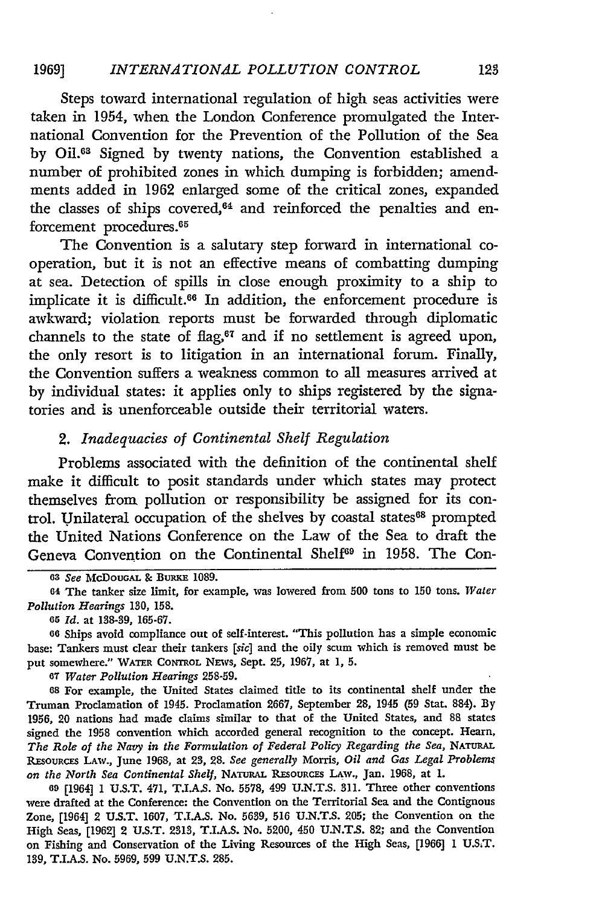Steps toward international regulation of high seas activities were taken in 1954, when the London Conference promulgated the International Convention for the Prevention of the Pollution of the Sea **by** Oil.63 Signed **by** twenty nations, the Convention established a number of prohibited zones in which dumping is forbidden; amendments added in **1962** enlarged some of the critical zones, expanded the classes of ships covered, $64$  and reinforced the penalties and enforcement procedures.<sup>65</sup>

The Convention is a salutary step forward in international cooperation, but it is not an effective means of combatting dumping at sea. Detection of spills in **close** enough proximity to a ship to implicate it is difficult.<sup>66</sup> In addition, the enforcement procedure is awkward; violation reports must be forwarded through diplomatic channels to the state of flag,<sup>67</sup> and if no settlement is agreed upon, the only resort is to litigation in an international forum. Finally, the Convention suffers a weakness common to all measures arrived at **by** individual states: it applies only to ships registered **by** the signatories and is unenforceable outside their territorial waters.

# *2. Inadequacies of Continental Shelf Regulation*

Problems associated with the definition of the continental shelf make it difficult to posit standards under which states may protect themselves from pollution or responsibility be assigned for its control. Unilateral occupation of the shelves by coastal states<sup>68</sup> prompted the United Nations Conference on the Law of the Sea to draft the Geneva Convention on the Continental Shelf<sup>69</sup> in 1958. The Con-

*65 Id.* at **138-39, 165-67.**

**66** Ships avoid compliance out of self-interest. "This pollution has a simple economic base: Tankers must clear their tankers *[sic]* and the oily scum which is removed must be put somewhere." WATER CONTROL NEws, Sept. **25, 1967,** at **1, 5.**

**<sup>67</sup>***Water Pollution Hearings* **258-59.**

**<sup>68</sup>**For example, the United States claimed title to its continental shelf under the Truman Proclamation of 1945. Proclamation **2667,** September 28, 1945 **(59** Stat. **884). By 1956,** 20 nations had made claims similar to that of the United States, and **88** states signed the **1958** convention which accorded general recognition to the concept. Hearn, The Role of the Navy in the Formulation of Federal Policy Regarding the Sea, NATURAL **Rrsou css** LAw., June **1968,** at **23, 28.** *See generally* Morris, *Oil and Gas Legal Problems on the North Sea Continental Shelf,* **NATuRAL** RrsouRcEs **LAW.,** Jan. **1968,** at **1.**

**<sup>69</sup>**[1964] **1 U.S.T.** 471, **T.I.A.S.** No. **5578,** 499 **U.N.T.S. 311.** Three other conventions were drafted at the Conference: the Convention on the Territorial Sea and the Contiguous Zone, [1964] 2 **U.S.T. 1607, T.LA.S.** No. **5639, 516 U.N.T.S. 205;** the Convention on the High Seas, **[1962]** 2 **U.S.T. 2313,** T.I.A.S. No. **5200,** 450 **U.N.T.S. 82;** and the Convention on Fishing and Conservation of the Living Resources of the High Seas, **[1966] 1 U.S.T. 139, T.I.A.S.** No. **5969, 599 U.N.T.S. 285.**

**<sup>63</sup>***See* **McDoUGAL** & **BURKE 1089.**

**<sup>64</sup>** The tanker size limit, for example, was lowered from **500** tons to **150** tons. *Water Pollution Hearings* **130, 158.**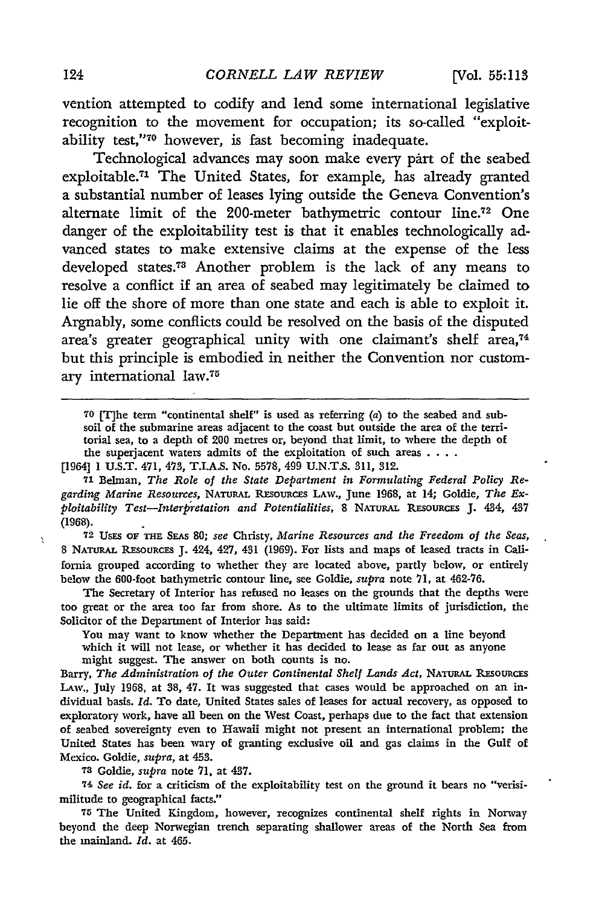vention attempted to codify and lend some international legislative recognition to the movement for occupation; its so-called "exploitability test,"<sup>70</sup> however, is fast becoming inadequate.

Technological advances may soon make every part of the seabed exploitable.71 The United States, for example, has already granted a substantial number of leases lying outside the Geneva Convention's alternate limit of the 200-meter bathymetric contour line.<sup>72</sup> One danger of the exploitability test is that it enables technologically advanced states to make extensive claims at the expense of the less developed states.<sup>73</sup> Another problem is the lack of any means to resolve a conflict if an area of seabed may legitimately be claimed to lie off the shore of more than one state and each is able to exploit it. Argnably, some conflicts could be resolved on the basis of the disputed area's greater geographical unity with one claimant's shelf area,<sup>74</sup> but this principle is embodied in neither the Convention nor customary international law.<sup>75</sup>

**70** [T]he term "continental shelf" is used as referring (a) to the seabed and subsoil of the submarine areas adjacent to the coast but outside the area of the territorial sea, to a depth of 200 metres or, beyond that limit, to where the depth of the superjacent waters admits of the exploitation of such areas **....**

[1964] 1 U.S.T. 471, 473, T.I.A.S. No. 5578, 499 U.N.T.S. 311, 312.

**71** Belman, *The Role of the State Department in Formulating Federal Policy Re*garding Marine Resources, NATURAL RESOURCES LAW., June 1968, at 14; Goldie, The Ex*ploitability Test-Interpretation and Potentialities,* 8 NATURAL **RESoURCES** J. 434, 437 (1968).

**72** UsEs OF **THE** SEAs **80;** *see* Christy, *Marine Resources and the Freedom of the Seas,* 8 NATURAL RESOURCES J. 424, 427, 431 (1969). For lists and maps of leased tracts in California grouped according to whether they are located above, partly below, or entirely below the 600-foot bathymetric contour line, see Goldie, *supra* note 71, at 462-76.

The Secretary of Interior has refused no leases on the grounds that the depths were too great or the area too far from shore. As to the ultimate limits of jurisdiction, the Solicitor of the Department of Interior has said:

You may want to know whether the Department has decided on a line beyond which it will not lease, or whether it has decided to lease as far out as anyone might suggest. The answer on both counts is no.

Barry, *The Administration of the Outer Continental Shelf Lands Act,* **NATuRAL REsouRcEs** LAw., July 1968, at 38, 47. It was suggested that cases would be approached on an individual basis. *Id.* To date, United States sales of leases for actual recovery, as opposed to exploratory work, have all been on the West Coast, perhaps due to the fact that extension of seabed sovereignty even to Hawaii might not present an international problem; the United States has been wary of granting exclusive oil and gas claims in the Gulf of Mexico. Goldie, *supra,* at 453.

**73** Goldie, *supra* note 71, at 437.

74 *See id.* for a criticism of the exploitability test on the ground it bears no "verisimilitude to geographical facts."

**<sup>75</sup>**The United Kingdom, however, recognizes continental shelf rights in Norway beyond the deep Norwegian trench separating shallower areas of the North Sea from the mainland. *Id.* at 465.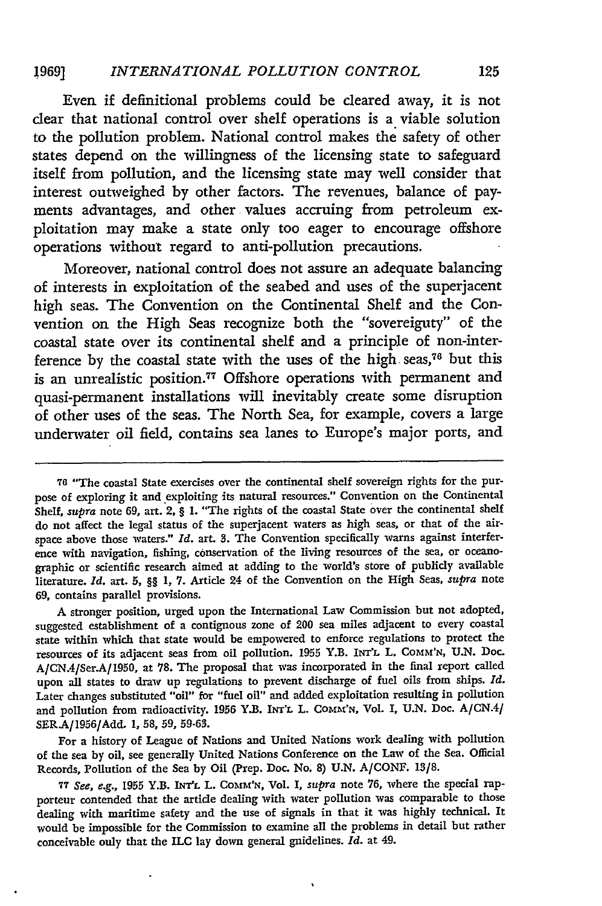Even if definitional problems could be cleared away, it is not **clear** that national control over shelf operations is a viable solution to the pollution problem. National control makes the safety of other states depend on the willingness of the licensing state to safeguard itself from pollution, and the licensing state may well consider that interest outweighed **by** other factors. The revenues, balance of payments advantages, and other values accruing from petroleum exploitation may make a state only too eager to encourage offshore operations without regard to anti-pollution precautions.

Moreover, national control does not assure an adequate balancing of interests in exploitation of the seabed and uses of the superjacent high seas. The Convention on the Continental Shelf and the Convention on the High Seas recognize both the "sovereignty" of the coastal state over its continental shelf and a principle of non-interference **by** the coastal state with the uses of the high seas,76 but this is an unrealistic position.<sup>77</sup> Offshore operations with permanent and quasi-permanent installations will inevitably create some disruption of other uses of the seas. The North Sea, for example, covers a large underwater oil field, contains sea lanes to Europe's major ports, and

A stronger position, urged upon the International Law Commission but not adopted, suggested establishment of a contiguous zone of 200 sea miles adjacent to every coastal state within which that state would be empowered to enforce regulations to protect the resources of its adjacent seas from oil pollution. **1955** Y.B. **INT'L** L. COMm'N, **U.N.** Doc. A/CN.4/Ser.A/1950, at **78.** The proposal that was incorporated in the final report called upon all states to draw up regulations to prevent discharge of fuel oils from ships. *Id.* Later changes substituted "oil" for "fuel oil" and added exploitation resulting in pollution and pollution from radioactivity. 1956 Y.B. INT'L L. COMM'N, Vol. I, U.N. Doc. A/CN.4/ **SERA/1956/Add. 1, 58, 59, 59-63.**

For a history of League of Nations and United Nations work dealing with pollution of the sea **by** oil, see generally United Nations Conference on the Law of the Sea. Official Records, Pollution of the Sea **by** Oil (Prep. Doc. No. **8) U.N. A/CONF. 13/8.**

**77** *See, e.g.,* **1955** Y.B. INT'L L. Comm'N, Vol. I, *supra* note **76,** where the special rapporteur contended that the article dealing with water pollution was comparable to those dealing with maritime safety and the use of signals in that it was **highly** technical. It would be impossible for the Commission to examine all the problems in detail but rather conceivable only that the ILC lay down general guidelines. *Id.* at 49.

**<sup>76</sup>** "The coastal State exercises over the continental shelf sovereign rights for the purpose of exploring it and exploiting its natural resources." Convention on the Continental Shelf, *supra* note **69,** art. 2, § **1.** "The rights of the coastal State over the continental shelf do not affect the legal status of the superjacent waters as high seas, or that of the airspace above those waters." *Id.* art. **3.** The Convention specifically warns against interference with navigation, fishing, conservation of the living resources of the sea, or oceanographic or scientific research aimed at adding to the world's store of publicly available literature. *Id.* art. **5,** §§ **1, 7.** Article 24 of the Convention on the High Seas, *supra* note **69,** contains parallel provisions.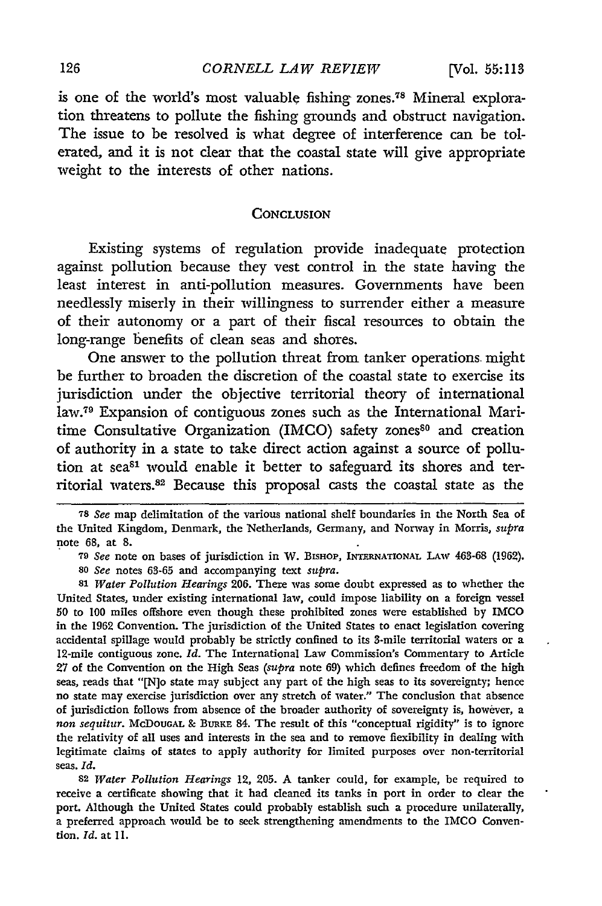is one of the world's most valuable fishing zones.<sup>78</sup> Mineral exploration threatens to pollute the fishing grounds and obstruct navigation. The issue to be resolved is what degree of interference can be tolerated, and it is not clear that the coastal state will give appropriate weight to the interests of other nations.

# **CONCLUSION**

Existing systems of regulation provide inadequate protection against pollution because they vest control in the state having the least interest in anti-pollution measures. Governments have been needlessly miserly in their willingness to surrender either a measure of their autonomy or a part of their fiscal resources to obtain the long-range benefits of clean seas and shores.

One answer to the pollution threat from tanker operations might be further to broaden the discretion of the coastal state to exercise its jurisdiction under the objective territorial theory of international law.79 Expansion of contiguous zones such as the International Maritime Consultative Organization (IMCO) safety zones<sup>80</sup> and creation of authority in a state to take direct action against a source of pollution at sea<sup>81</sup> would enable it better to safeguard its shores and territorial waters.<sup>82</sup> Because this proposal casts the coastal state as the

**79** *See* note on bases of jurisdiction in W. BISHOP, **INTERNATIONAL** LAw **463-68 (1962).**

*<sup>80</sup>See* notes **63-65** and accompanying text *supra.*

**<sup>81</sup>***Water Pollution Hearings* 206. There was some doubt expressed as to whether the United States, under existing international law, could impose liability on a foreign vessel **50** to 100 miles offshore even though these prohibited zones were established **by** IMCO in the **1962** Convention. The jurisdiction of the United States to enact legislation covering accidental spillage would probably be strictly confined to its 3-mile territorial waters or a 12-mile contiguous zone. *Id.* The International Law Commission's Commentary to Article **27** of the Convention on the High Seas *(supra* note **69)** which defines freedom of the high seas, reads that "[N]o state may subject any part of the high seas to its sovereignty; hence no state may exercise jurisdiction over any stretch of water." The conclusion that absence of jurisdiction follows from absence of the broader authority of sovereignty is, however, a *non sequitur.* McDOUGAL **&** BuRKE 84. The result of this "conceptual rigidity" is to ignore the relativity of all uses and interests in the sea and to remove fiexibility in dealing with legitimate claims of states to apply authority for limited purposes over non-territorial seas. *Id.*

**82** *Water Pollution Hearings* 12, 205. A tanker could, for example, be required to receive a certificate showing that it had cleaned its tanks in port in order to clear the port. Although the United States could probably establish such a procedure unilaterally, a preferred approach would be to seek strengthening amendments to the IMCO Convention. *Id.* at 11.

**<sup>78</sup>** *See* map delimitation of the various national shelf boundaries in the North Sea of the United Kingdom, Denmark, the Netherlands, Germany, and Norway in Morris, *supra* note **68,** at **8.**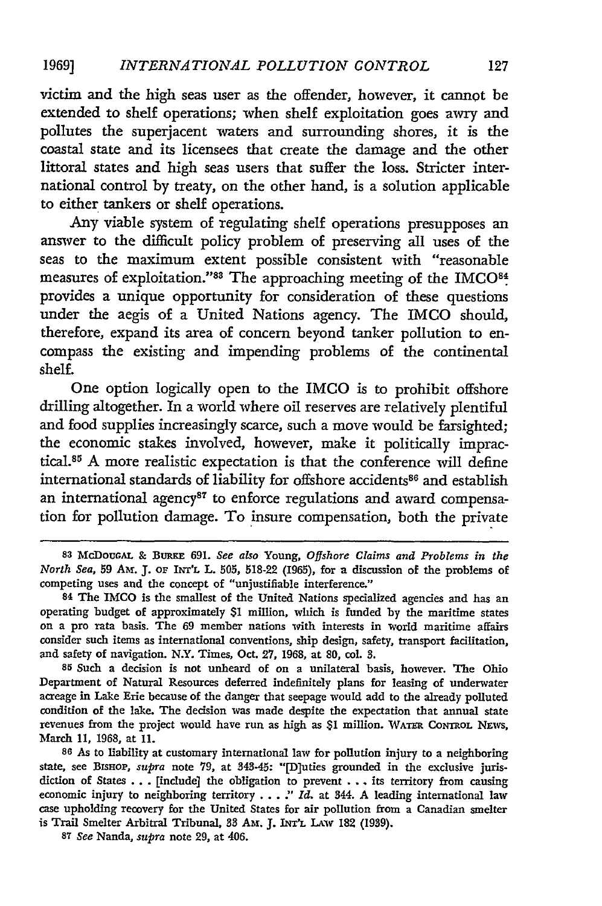victim and the high seas user as the offender, however, it cannot be extended to shelf operations; when shelf exploitation goes awry and pollutes the superjacent waters and surrounding shores, it is the coastal state and its licensees that create the damage and the other littoral states and high seas users that suffer the loss. Stricter international control by treaty, on the other hand, is a solution applicable to either tankers or shelf operations.

Any viable system of regulating shelf operations presupposes an answer to the difficult policy problem of preserving all uses of the seas to the maximum extent possible consistent with "reasonable measures of exploitation."88 The approaching meeting of the IMCO84 provides a unique opportunity for consideration of these questions under the aegis of a United Nations agency. The IMCO should, therefore, expand its area of concern beyond tanker pollution to encompass the existing and impending problems of the continental shelf.

One option logically open to the IMCO is to prohibit offshore drilling altogether. In a world where oil reserves are relatively plentiful and food supplies increasingly scarce, such a move would be farsighted; the economic stakes involved, however, make it politically impractical.<sup>85</sup> A more realistic expectation is that the conference will define international standards of liability for offshore accidents<sup>86</sup> and establish an international agency<sup>87</sup> to enforce regulations and award compensation for pollution damage. To insure compensation, both the private

**<sup>85</sup>**Such a decision is not unheard of on a unilateral basis, however. The Ohio Department of Natural Resources deferred indefinitely plans for leasing of underwater acreage in Lake Erie because of the danger that seepage would add to the already polluted condition of the lake. The decision was made despite the expectation that annual state revenues from the project would have run as high as \$1 million. WATa CoNTROL **NEWs,** March 11, 1968, at **11.**

**<sup>86</sup>**As to liability at customary international law for pollution injury to a neighboring state, see BIsHop, *supra* **note 79,** at 343-45: "[D]uties grounded in the exclusive jurisdiction of States .. . [include] the obligation to prevent . **..** its territory from causing economic injury to neighboring territory **. . .** *"' Id.* at 344. A leading international law case upholding recovery for the United States for air pollution from a Canadian smelter is Trail Smelter Arbitral Tribunal, 33 **Am. J. INT'L LAW 182** (1939).

**<sup>87</sup>***See* Nanda, *supra* note **29,** at 406.

<sup>83</sup> McDouGAL & BURKE 691. See also Young, Offshore Claims and Problems in the *North Sea,* **59** Am. **J. oF** INT'L L. **505,** 518-22 (1965), for a discussion of the problems of competing uses and the concept of "unjustifiable interference."

<sup>84</sup> The IMCO is the smallest of the United Nations specialized agencies and has an operating budget of approximately \$1 million, which is funded by the maritime states on a pro rata basis. The 69 member nations with interests in world maritime affairs consider such items as international conventions, ship design, safety, transport facilitation, and safety of navigation. N.Y. Times, Oct. 27, 1968, at 80, col. 3.